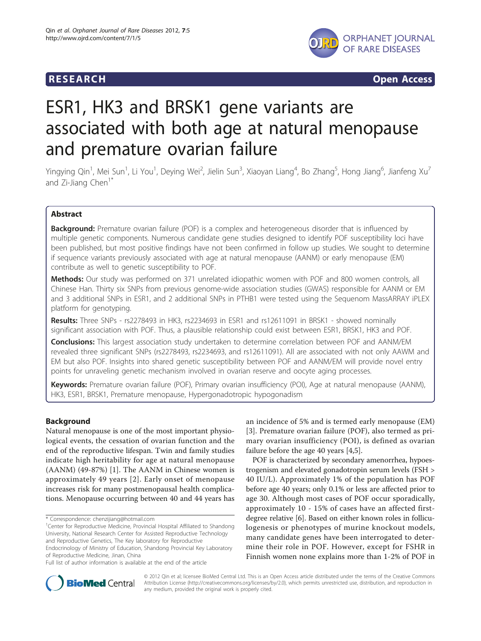

**RESEARCH CONSTRUCTION CONSTRUCTS** 

# ESR1, HK3 and BRSK1 gene variants are associated with both age at natural menopause and premature ovarian failure

Yingying Qin<sup>1</sup>, Mei Sun<sup>1</sup>, Li You<sup>1</sup>, Deying Wei<sup>2</sup>, Jielin Sun<sup>3</sup>, Xiaoyan Liang<sup>4</sup>, Bo Zhang<sup>5</sup>, Hong Jiang<sup>6</sup>, Jianfeng Xu<sup>7</sup> and Zi-Jiang Chen<sup>1\*</sup>

# Abstract

**Background:** Premature ovarian failure (POF) is a complex and heterogeneous disorder that is influenced by multiple genetic components. Numerous candidate gene studies designed to identify POF susceptibility loci have been published, but most positive findings have not been confirmed in follow up studies. We sought to determine if sequence variants previously associated with age at natural menopause (AANM) or early menopause (EM) contribute as well to genetic susceptibility to POF.

Methods: Our study was performed on 371 unrelated idiopathic women with POF and 800 women controls, all Chinese Han. Thirty six SNPs from previous genome-wide association studies (GWAS) responsible for AANM or EM and 3 additional SNPs in ESR1, and 2 additional SNPs in PTHB1 were tested using the Sequenom MassARRAY iPLEX platform for genotyping.

Results: Three SNPs - rs2278493 in HK3, rs2234693 in ESR1 and rs12611091 in BRSK1 - showed nominally significant association with POF. Thus, a plausible relationship could exist between ESR1, BRSK1, HK3 and POF.

**Conclusions:** This largest association study undertaken to determine correlation between POF and AANM/EM revealed three significant SNPs (rs2278493, rs2234693, and rs12611091). All are associated with not only AAWM and EM but also POF. Insights into shared genetic susceptibility between POF and AANM/EM will provide novel entry points for unraveling genetic mechanism involved in ovarian reserve and oocyte aging processes.

Keywords: Premature ovarian failure (POF), Primary ovarian insufficiency (POI), Age at natural menopause (AANM), HK3, ESR1, BRSK1, Premature menopause, Hypergonadotropic hypogonadism

# Background

Natural menopause is one of the most important physiological events, the cessation of ovarian function and the end of the reproductive lifespan. Twin and family studies indicate high heritability for age at natural menopause (AANM) (49-87%) [\[1](#page-4-0)]. The AANM in Chinese women is approximately 49 years [[2](#page-4-0)]. Early onset of menopause increases risk for many postmenopausal health complications. Menopause occurring between 40 and 44 years has

an incidence of 5% and is termed early menopause (EM) [[3\]](#page-4-0). Premature ovarian failure (POF), also termed as primary ovarian insufficiency (POI), is defined as ovarian failure before the age 40 years [[4,5\]](#page-4-0).

POF is characterized by secondary amenorrhea, hypoestrogenism and elevated gonadotropin serum levels (FSH > 40 IU/L). Approximately 1% of the population has POF before age 40 years; only 0.1% or less are affected prior to age 30. Although most cases of POF occur sporadically, approximately 10 - 15% of cases have an affected firstdegree relative [\[6\]](#page-4-0). Based on either known roles in folliculogenesis or phenotypes of murine knockout models, many candidate genes have been interrogated to determine their role in POF. However, except for FSHR in Finnish women none explains more than 1-2% of POF in



© 2012 Qin et al; licensee BioMed Central Ltd. This is an Open Access article distributed under the terms of the Creative Commons Attribution License [\(http://creativecommons.org/licenses/by/2.0](http://creativecommons.org/licenses/by/2.0)), which permits unrestricted use, distribution, and reproduction in any medium, provided the original work is properly cited.

<sup>\*</sup> Correspondence: [chenzijiang@hotmail.com](mailto:chenzijiang@hotmail.com)

<sup>&</sup>lt;sup>1</sup> Center for Reproductive Medicine, Provincial Hospital Affiliated to Shandong University, National Research Center for Assisted Reproductive Technology and Reproductive Genetics, The Key laboratory for Reproductive

Endocrinology of Ministry of Education, Shandong Provincial Key Laboratory of Reproductive Medicine, Jinan, China

Full list of author information is available at the end of the article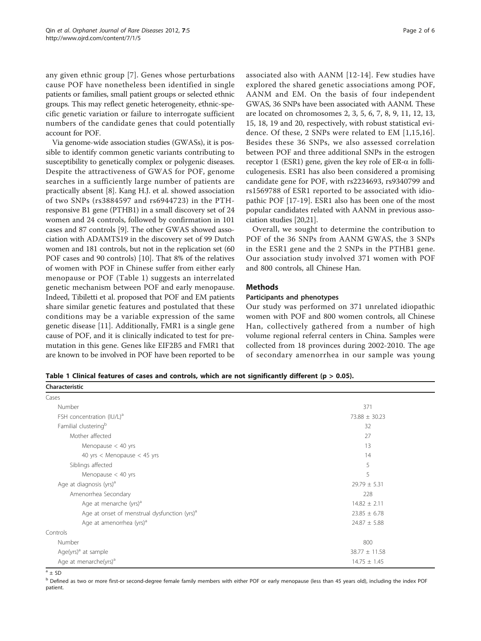<span id="page-1-0"></span>any given ethnic group [[7\]](#page-4-0). Genes whose perturbations cause POF have nonetheless been identified in single patients or families, small patient groups or selected ethnic groups. This may reflect genetic heterogeneity, ethnic-specific genetic variation or failure to interrogate sufficient numbers of the candidate genes that could potentially account for POF.

Via genome-wide association studies (GWASs), it is possible to identify common genetic variants contributing to susceptibility to genetically complex or polygenic diseases. Despite the attractiveness of GWAS for POF, genome searches in a sufficiently large number of patients are practically absent [\[8](#page-4-0)]. Kang H.J. et al. showed association of two SNPs (rs3884597 and rs6944723) in the PTHresponsive B1 gene (PTHB1) in a small discovery set of 24 women and 24 controls, followed by confirmation in 101 cases and 87 controls [\[9\]](#page-4-0). The other GWAS showed association with ADAMTS19 in the discovery set of 99 Dutch women and 181 controls, but not in the replication set (60 POF cases and 90 controls) [[10\]](#page-4-0). That 8% of the relatives of women with POF in Chinese suffer from either early menopause or POF (Table 1) suggests an interrelated genetic mechanism between POF and early menopause. Indeed, Tibiletti et al. proposed that POF and EM patients share similar genetic features and postulated that these conditions may be a variable expression of the same genetic disease [[11\]](#page-4-0). Additionally, FMR1 is a single gene cause of POF, and it is clinically indicated to test for premutation in this gene. Genes like EIF2B5 and FMR1 that are known to be involved in POF have been reported to be associated also with AANM [[12](#page-4-0)-[14\]](#page-4-0). Few studies have explored the shared genetic associations among POF, AANM and EM. On the basis of four independent GWAS, 36 SNPs have been associated with AANM. These are located on chromosomes 2, 3, 5, 6, 7, 8, 9, 11, 12, 13, 15, 18, 19 and 20, respectively, with robust statistical evidence. Of these, 2 SNPs were related to EM [[1](#page-4-0),[15](#page-4-0),[16\]](#page-4-0). Besides these 36 SNPs, we also assessed correlation between POF and three additional SNPs in the estrogen receptor 1 (ESR1) gene, given the key role of  $ER-\alpha$  in folliculogenesis. ESR1 has also been considered a promising candidate gene for POF, with rs2234693, rs9340799 and rs1569788 of ESR1 reported to be associated with idiopathic POF [[17-19](#page-4-0)]. ESR1 also has been one of the most popular candidates related with AANM in previous association studies [\[20,21\]](#page-5-0).

Overall, we sought to determine the contribution to POF of the 36 SNPs from AANM GWAS, the 3 SNPs in the ESR1 gene and the 2 SNPs in the PTHB1 gene. Our association study involved 371 women with POF and 800 controls, all Chinese Han.

# Methods

# Participants and phenotypes

Our study was performed on 371 unrelated idiopathic women with POF and 800 women controls, all Chinese Han, collectively gathered from a number of high volume regional referral centers in China. Samples were collected from 18 provinces during 2002-2010. The age of secondary amenorrhea in our sample was young

Table 1 Clinical features of cases and controls, which are not significantly different ( $p > 0.05$ ).

| Characteristic                                           |                   |  |  |  |  |  |  |  |
|----------------------------------------------------------|-------------------|--|--|--|--|--|--|--|
| Cases                                                    |                   |  |  |  |  |  |  |  |
| Number                                                   | 371               |  |  |  |  |  |  |  |
| FSH concentration (IU/L) <sup>a</sup>                    | $73.88 \pm 30.23$ |  |  |  |  |  |  |  |
| Familial clustering <sup>b</sup>                         | 32                |  |  |  |  |  |  |  |
| Mother affected                                          | 27                |  |  |  |  |  |  |  |
| Menopause $<$ 40 yrs                                     | 13                |  |  |  |  |  |  |  |
| 40 yrs < Menopause < 45 yrs                              | 14                |  |  |  |  |  |  |  |
| Siblings affected                                        | 5                 |  |  |  |  |  |  |  |
| Menopause $<$ 40 yrs                                     | 5                 |  |  |  |  |  |  |  |
| Age at diagnosis (yrs) <sup>a</sup>                      | $29.79 \pm 5.31$  |  |  |  |  |  |  |  |
| Amenorrhea Secondary                                     | 228               |  |  |  |  |  |  |  |
| Age at menarche (yrs) <sup>a</sup>                       | $14.82 \pm 2.11$  |  |  |  |  |  |  |  |
| Age at onset of menstrual dysfunction (yrs) <sup>a</sup> | $23.85 \pm 6.78$  |  |  |  |  |  |  |  |
| Age at amenorrhea (yrs) <sup>a</sup>                     | $24.87 \pm 5.88$  |  |  |  |  |  |  |  |
| Controls                                                 |                   |  |  |  |  |  |  |  |
| Number                                                   | 800               |  |  |  |  |  |  |  |
| Age(yrs) <sup>a</sup> at sample                          | $38.77 \pm 11.58$ |  |  |  |  |  |  |  |
| Age at menarche(yrs) <sup>a</sup>                        | $14.75 \pm 1.45$  |  |  |  |  |  |  |  |

 $a \pm SD$ 

<sup>b</sup> Defined as two or more first-or second-degree female family members with either POF or early menopause (less than 45 years old), including the index POF patient.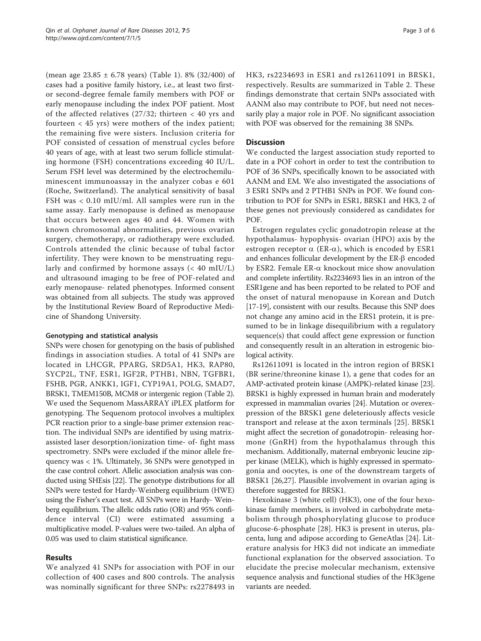(mean age 23.85 ± 6.78 years) (Table [1](#page-1-0)). 8% (32/400) of cases had a positive family history, i.e., at least two firstor second-degree female family members with POF or early menopause including the index POF patient. Most of the affected relatives (27/32; thirteen < 40 yrs and fourteen < 45 yrs) were mothers of the index patient; the remaining five were sisters. Inclusion criteria for POF consisted of cessation of menstrual cycles before 40 years of age, with at least two serum follicle stimulating hormone (FSH) concentrations exceeding 40 IU/L. Serum FSH level was determined by the electrochemiluminescent immunoassay in the analyzer cobas e 601 (Roche, Switzerland). The analytical sensitivity of basal FSH was < 0.10 mIU/ml. All samples were run in the same assay. Early menopause is defined as menopause that occurs between ages 40 and 44. Women with known chromosomal abnormalities, previous ovarian surgery, chemotherapy, or radiotherapy were excluded. Controls attended the clinic because of tubal factor infertility. They were known to be menstruating regularly and confirmed by hormone assays  $\ll 40 \text{ mU/L}$ ) and ultrasound imaging to be free of POF-related and early menopause- related phenotypes. Informed consent was obtained from all subjects. The study was approved by the Institutional Review Board of Reproductive Medicine of Shandong University.

# Genotyping and statistical analysis

SNPs were chosen for genotyping on the basis of published findings in association studies. A total of 41 SNPs are located in LHCGR, PPARG, SRD5A1, HK3, RAP80, SYCP2L, TNF, ESR1, IGF2R, PTHB1, NBN, TGFBR1, FSHB, PGR, ANKK1, IGF1, CYP19A1, POLG, SMAD7, BRSK1, TMEM150B, MCM8 or intergenic region (Table [2](#page-3-0)). We used the Sequenom MassARRAY iPLEX platform for genotyping. The Sequenom protocol involves a multiplex PCR reaction prior to a single-base primer extension reaction. The individual SNPs are identified by using matrixassisted laser desorption/ionization time- of- fight mass spectrometry. SNPs were excluded if the minor allele frequency was < 1%. Ultimately, 36 SNPs were genotyped in the case control cohort. Allelic association analysis was conducted using SHEsis [\[22\]](#page-5-0). The genotype distributions for all SNPs were tested for Hardy-Weinberg equilibrium (HWE) using the Fisher's exact test. All SNPs were in Hardy- Weinberg equilibrium. The allelic odds ratio (OR) and 95% confidence interval (CI) were estimated assuming a multiplicative model. P-values were two-tailed. An alpha of 0.05 was used to claim statistical significance.

# Results

We analyzed 41 SNPs for association with POF in our collection of 400 cases and 800 controls. The analysis was nominally significant for three SNPs: rs2278493 in HK3, rs2234693 in ESR1 and rs12611091 in BRSK1, respectively. Results are summarized in Table [2](#page-3-0). These findings demonstrate that certain SNPs associated with AANM also may contribute to POF, but need not necessarily play a major role in POF. No significant association with POF was observed for the remaining 38 SNPs.

# **Discussion**

We conducted the largest association study reported to date in a POF cohort in order to test the contribution to POF of 36 SNPs, specifically known to be associated with AANM and EM. We also investigated the associations of 3 ESR1 SNPs and 2 PTHB1 SNPs in POF. We found contribution to POF for SNPs in ESR1, BRSK1 and HK3, 2 of these genes not previously considered as candidates for POF.

Estrogen regulates cyclic gonadotropin release at the hypothalamus- hypophysis- ovarian (HPO) axis by the estrogen receptor  $\alpha$  (ER- $\alpha$ ), which is encoded by ESR1 and enhances follicular development by the ER- $\beta$  encoded by ESR2. Female ER-a knockout mice show anovulation and complete infertility. Rs2234693 lies in an intron of the ESR1gene and has been reported to be related to POF and the onset of natural menopause in Korean and Dutch [[17-19](#page-4-0)], consistent with our results. Because this SNP does not change any amino acid in the ERS1 protein, it is presumed to be in linkage disequilibrium with a regulatory sequence(s) that could affect gene expression or function and consequently result in an alteration in estrogenic biological activity.

Rs12611091 is located in the intron region of BRSK1 (BR serine/threonine kinase 1), a gene that codes for an AMP-activated protein kinase (AMPK)-related kinase [[23](#page-5-0)]. BRSK1 is highly expressed in human brain and moderately expressed in mammalian ovaries [\[24\]](#page-5-0). Mutation or overexpression of the BRSK1 gene deleteriously affects vesicle transport and release at the axon terminals [\[25](#page-5-0)]. BRSK1 might affect the secretion of gonadotropin- releasing hormone (GnRH) from the hypothalamus through this mechanism. Additionally, maternal embryonic leucine zipper kinase (MELK), which is highly expressed in spermatogonia and oocytes, is one of the downstream targets of BRSK1 [\[26,27](#page-5-0)]. Plausible involvement in ovarian aging is therefore suggested for BRSK1.

Hexokinase 3 (white cell) (HK3), one of the four hexokinase family members, is involved in carbohydrate metabolism through phosphorylating glucose to produce glucose-6-phosphate [[28\]](#page-5-0). HK3 is present in uterus, placenta, lung and adipose according to GeneAtlas [[24\]](#page-5-0). Literature analysis for HK3 did not indicate an immediate functional explanation for the observed association. To elucidate the precise molecular mechanism, extensive sequence analysis and functional studies of the HK3gene variants are needed.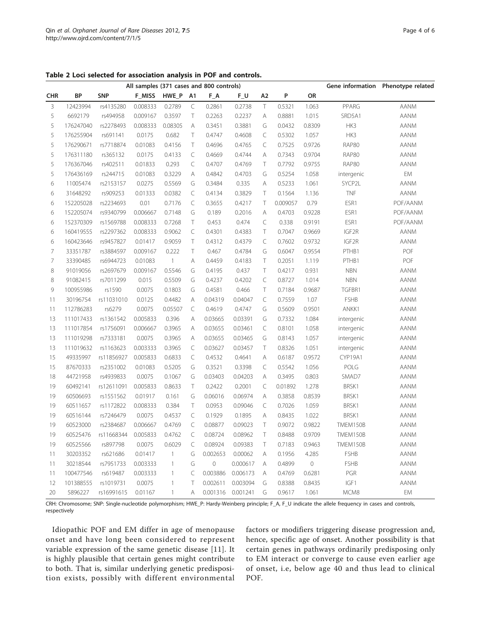<span id="page-3-0"></span>Table 2 Loci selected for association analysis in POF and controls.

|                | All samples (371 cases and 800 controls) |            |          |              |                |             |          |                |          |         | Gene information | Phenotype related |
|----------------|------------------------------------------|------------|----------|--------------|----------------|-------------|----------|----------------|----------|---------|------------------|-------------------|
| <b>CHR</b>     | BP                                       | <b>SNP</b> | F MISS   | HWE_P        | A <sub>1</sub> | F_A         | $F_U$    | A <sub>2</sub> | P        | OR      |                  |                   |
| 3              | 12423994                                 | rs4135280  | 0.008333 | 0.2789       | $\subset$      | 0.2861      | 0.2738   | T              | 0.5321   | 1.063   | PPARG            | <b>AANM</b>       |
| 5              | 6692179                                  | rs494958   | 0.009167 | 0.3597       | $\top$         | 0.2263      | 0.2237   | Α              | 0.8881   | 1.015   | SRD5A1           | <b>AANM</b>       |
| 5              | 176247040                                | rs2278493  | 0.008333 | 0.08305      | Α              | 0.3451      | 0.3881   | G              | 0.0432   | 0.8309  | HK3              | <b>AANM</b>       |
| 5              | 176255904                                | rs691141   | 0.0175   | 0.682        | T              | 0.4747      | 0.4608   | $\subset$      | 0.5302   | 1.057   | HK3              | <b>AANM</b>       |
| 5              | 176290671                                | rs7718874  | 0.01083  | 0.4156       | T              | 0.4696      | 0.4765   | $\subset$      | 0.7525   | 0.9726  | <b>RAP80</b>     | <b>AANM</b>       |
| 5              | 176311180                                | rs365132   | 0.0175   | 0.4133       | $\subset$      | 0.4669      | 0.4744   | Α              | 0.7343   | 0.9704  | <b>RAP80</b>     | <b>AANM</b>       |
| 5              | 176367046                                | rs402511   | 0.01833  | 0.293        | $\subset$      | 0.4707      | 0.4769   | Τ              | 0.7792   | 0.9755  | <b>RAP80</b>     | <b>AANM</b>       |
| 5              | 176436169                                | rs244715   | 0.01083  | 0.3229       | A              | 0.4842      | 0.4703   | G              | 0.5254   | 1.058   | intergenic       | EM                |
| 6              | 11005474                                 | rs2153157  | 0.0275   | 0.5569       | G              | 0.3484      | 0.335    | A              | 0.5233   | 1.061   | SYCP2L           | <b>AANM</b>       |
| 6              | 31648292                                 | rs909253   | 0.01333  | 0.0382       | $\subset$      | 0.4134      | 0.3829   | T              | 0.1564   | 1.136   | TNF              | <b>AANM</b>       |
| 6              | 152205028                                | rs2234693  | 0.01     | 0.7176       | $\subset$      | 0.3655      | 0.4217   | Τ              | 0.009057 | 0.79    | ESR1             | POF/AANM          |
| 6              | 152205074                                | rs9340799  | 0.006667 | 0.7148       | G              | 0.189       | 0.2016   | A              | 0.4703   | 0.9228  | ESR1             | POF/AANM          |
| 6              | 152370309                                | rs1569788  | 0.008333 | 0.7268       | T              | 0.453       | 0.474    | $\subset$      | 0.338    | 0.9191  | ESR1             | POF/AANM          |
| 6              | 160419555                                | rs2297362  | 0.008333 | 0.9062       | $\subset$      | 0.4301      | 0.4383   | T              | 0.7047   | 0.9669  | IGF2R            | AANM              |
| 6              | 160423646                                | rs9457827  | 0.01417  | 0.9059       | T              | 0.4312      | 0.4379   | $\subset$      | 0.7602   | 0.9732  | IGF2R            | <b>AANM</b>       |
| $\overline{7}$ | 33351787                                 | rs3884597  | 0.009167 | 0.222        | T              | 0.467       | 0.4784   | G              | 0.6047   | 0.9554  | PTHB1            | POF               |
| $\overline{7}$ | 33390485                                 | rs6944723  | 0.01083  | $\mathbf{1}$ | A              | 0.4459      | 0.4183   | T              | 0.2051   | 1.119   | PTHB1            | POF               |
| 8              | 91019056                                 | rs2697679  | 0.009167 | 0.5546       | G              | 0.4195      | 0.437    | T              | 0.4217   | 0.931   | <b>NBN</b>       | <b>AANM</b>       |
| 8              | 91082415                                 | rs7011299  | 0.015    | 0.5509       | G              | 0.4237      | 0.4202   | $\subset$      | 0.8727   | 1.014   | <b>NBN</b>       | <b>AANM</b>       |
| 9              | 100955986                                | rs1590     | 0.0075   | 0.1803       | G              | 0.4581      | 0.466    | T.             | 0.7184   | 0.9687  | TGFBR1           | <b>AANM</b>       |
| 11             | 30196754                                 | rs11031010 | 0.0125   | 0.4482       | A              | 0.04319     | 0.04047  | $\subset$      | 0.7559   | 1.07    | FSHB             | <b>AANM</b>       |
| 11             | 112786283                                | rs6279     | 0.0075   | 0.05507      | $\subset$      | 0.4619      | 0.4747   | G              | 0.5609   | 0.9501  | ANKK1            | <b>AANM</b>       |
| 13             | 111017433                                | rs1361542  | 0.005833 | 0.396        | A              | 0.03665     | 0.03391  | G              | 0.7332   | 1.084   | intergenic       | <b>AANM</b>       |
| 13             | 111017854                                | rs1756091  | 0.006667 | 0.3965       | A              | 0.03655     | 0.03461  | $\subset$      | 0.8101   | 1.058   | intergenic       | <b>AANM</b>       |
| 13             | 111019298                                | rs7333181  | 0.0075   | 0.3965       | Α              | 0.03655     | 0.03465  | G              | 0.8143   | 1.057   | intergenic       | AANM              |
| 13             | 111019632                                | rs1163623  | 0.003333 | 0.3965       | $\subset$      | 0.03627     | 0.03457  | T              | 0.8326   | 1.051   | intergenic       | <b>AANM</b>       |
| 15             | 49335997                                 | rs11856927 | 0.005833 | 0.6833       | C              | 0.4532      | 0.4641   | A              | 0.6187   | 0.9572  | CYP19A1          | <b>AANM</b>       |
| 15             | 87670333                                 | rs2351002  | 0.01083  | 0.5205       | G              | 0.3521      | 0.3398   | $\subset$      | 0.5542   | 1.056   | POLG             | <b>AANM</b>       |
| 18             | 44721958                                 | rs4939833  | 0.0075   | 0.1067       | G              | 0.03403     | 0.04203  | A              | 0.3495   | 0.803   | SMAD7            | <b>AANM</b>       |
| 19             | 60492141                                 | rs12611091 | 0.005833 | 0.8633       | T              | 0.2422      | 0.2001   | $\subset$      | 0.01892  | 1.278   | BRSK1            | <b>AANM</b>       |
| 19             | 60506693                                 | rs1551562  | 0.01917  | 0.161        | G              | 0.06016     | 0.06974  | A              | 0.3858   | 0.8539  | BRSK1            | <b>AANM</b>       |
| 19             | 60511657                                 | rs1172822  | 0.008333 | 0.384        | Τ              | 0.0953      | 0.09046  | $\subset$      | 0.7026   | 1.059   | BRSK1            | <b>AANM</b>       |
| 19             | 60516144                                 | rs7246479  | 0.0075   | 0.4537       | $\subset$      | 0.1929      | 0.1895   | A              | 0.8435   | 1.022   | BRSK1            | AANM              |
| 19             | 60523000                                 | rs2384687  | 0.006667 | 0.4769       | C              | 0.08877     | 0.09023  | Τ              | 0.9072   | 0.9822  | TMEM150B         | <b>AANM</b>       |
| 19             | 60525476                                 | rs11668344 | 0.005833 | 0.4762       | C              | 0.08724     | 0.08962  | Τ              | 0.8488   | 0.9709  | TMEM150B         | <b>AANM</b>       |
| 19             | 60525566                                 | rs897798   | 0.0075   | 0.6029       | $\subset$      | 0.08924     | 0.09383  | Τ              | 0.7183   | 0.9463  | TMEM150B         | <b>AANM</b>       |
| 11             | 30203352                                 | rs621686   | 0.01417  | $\mathbf{1}$ | G              | 0.002653    | 0.00062  | A              | 0.1956   | 4.285   | <b>FSHB</b>      | <b>AANM</b>       |
| 11             | 30218544                                 | rs7951733  | 0.003333 | $\mathbf{1}$ | G              | $\mathbb O$ | 0.000617 | $\overline{A}$ | 0.4899   | $\circ$ | <b>FSHB</b>      | <b>AANM</b>       |
| 11             | 100477546                                | rs619487   | 0.003333 | $\mathbf{1}$ | $\subset$      | 0.003886    | 0.006173 | A              | 0.4769   | 0.6281  | PGR              | <b>AANM</b>       |
| 12             | 101388555                                | rs1019731  | 0.0075   | $\mathbf{1}$ | T              | 0.002611    | 0.003094 | G              | 0.8388   | 0.8435  | IGF1             | <b>AANM</b>       |
| 20             | 5896227                                  | rs16991615 | 0.01167  | $\mathbf{1}$ | А              | 0.001316    | 0.001241 | G              | 0.9617   | 1.061   | MCM8             | EM                |

CRH: Chromosome; SNP: Single-nucleotide polymorphism; HWE\_P: Hardy-Weinberg principle; F\_A, F\_U indicate the allele frequency in cases and controls, respectively

Idiopathic POF and EM differ in age of menopause onset and have long been considered to represent variable expression of the same genetic disease [[11\]](#page-4-0). It is highly plausible that certain genes might contribute to both. That is, similar underlying genetic predisposition exists, possibly with different environmental factors or modifiers triggering disease progression and, hence, specific age of onset. Another possibility is that certain genes in pathways ordinarily predisposing only to EM interact or converge to cause even earlier age of onset, i.e, below age 40 and thus lead to clinical POF.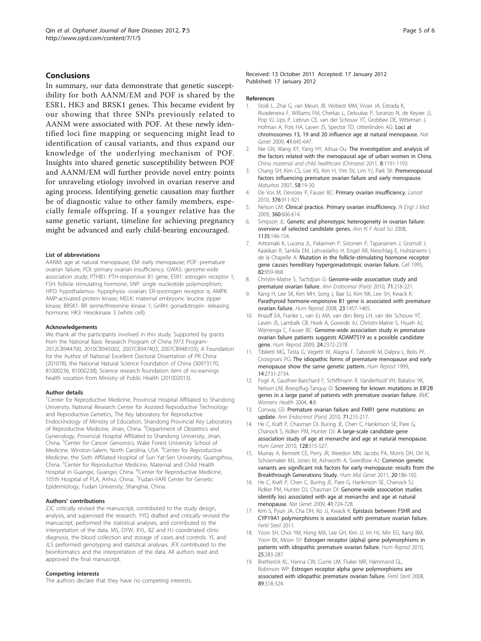# <span id="page-4-0"></span>Conclusions

In summary, our data demonstrate that genetic susceptibility for both AANM/EM and POF is shared by the ESR1, HK3 and BRSK1 genes. This became evident by our showing that three SNPs previously related to AANM were associated with POF. At these newly identified loci fine mapping or sequencing might lead to identification of causal variants, and thus expand our knowledge of the underlying mechanism of POF. Insights into shared genetic susceptibility between POF and AANM/EM will further provide novel entry points for unraveling etiology involved in ovarian reserve and aging process. Identifying genetic causation may further be of diagnostic value to other family members, especially female offspring. If a younger relative has the same genetic variant, timeline for achieving pregnancy might be advanced and early child-bearing encouraged.

#### List of abbreviations

AANM: age at natural menopause; EM: early menopause; POF: premature ovarian failure; POI: primary ovarian insufficiency; GWAS: genome-wide association study; PTHB1: PTH-responsive B1 gene; ESR1: estrogen receptor 1; FSH: follicle stimulating hormone; SNP: single nucleotide polymorphism; HPO: hypothalamus- hypophysis- ovarian; ER-α:estrogen receptor α; AMPK: AMP-activated protein kinase; MELK: maternal embryonic leucine zipper kinase; BRSK1: BR serine/threonine kinase 1; GnRH: gonadotropin- releasing hormone; HK3: Hexokinase 3 (white cell).

#### Acknowledgements

We thank all the participants involved in this study. Supported by grants from the National Basic Research Program of China (973 Program-2012CB944700, 2010CB945002, 2007CB947403, 2007CB948103), A Foundation for the Author of National Excellent Doctoral Dissertation of PR China (201078), the National Natural Science Foundation of China (30973170, 81000236, 81000238), Science research foundation item of no-earnings health vocation from Ministry of Public Health (201002013).

#### Author details

<sup>1</sup>Center for Reproductive Medicine, Provincial Hospital Affiliated to Shandong University, National Research Center for Assisted Reproductive Technology and Reproductive Genetics, The Key laboratory for Reproductive Endocrinology of Ministry of Education, Shandong Provincial Key Laboratory of Reproductive Medicine, Jinan, China. <sup>2</sup>Department of Obstetrics and Gynecology, Provincial Hospital Affiliated to Shandong University, Jinan, China. <sup>3</sup>Center for Cancer Genomics, Wake Forest University School of Medicine, Winston-Salem, North Carolina, USA. <sup>4</sup>Center for Reproductive Medicine, the Sixth Affiliated Hospital of Sun Yat-Sen University, Guangzhou, China. <sup>5</sup>Center for Reproductive Medicine, Maternal and Child Health Hospital in Guangxi, Guangxi, China. <sup>6</sup>Center for Reproductive Medicine, 105th Hospital of PLA, Anhui, China. <sup>7</sup>Fudan-VARI Center for Genetic Epidemiology, Fudan University, Shanghai, China.

## Authors' contributions

ZJC critically revised the manuscript, contributed to the study design, analysis, and supervised the research. YYQ drafted and critically revised the manuscript, performed the statistical analyses, and contributed to the interpretation of the data. MS, DYW, XYL, BZ and HJ coordinated clinic diagnosis, the blood collection and storage of cases and controls. YL and JLS performed genotyping and statistical analyses. JFX contributed to the bioinformatics and the interpretation of the data. All authors read and approved the final manuscript.

#### Competing interests

The authors declare that they have no competing interests.

#### Received: 13 October 2011 Accepted: 17 January 2012 Published: 17 January 2012

#### References

- 1. Stolk L, Zhai G, van Meurs JB, Verbiest MM, Visser JA, Estrada K, Rivadeneira F, Williams FM, Cherkas L, Deloukas P, Soranzo N, de Keyzer JJ, Pop VJ, Lips P, Lebrun CE, van der Schouw YT, Grobbee DE, Witteman J, Hofman A, Pols HA, Laven JS, Spector TD, Uitterlinden AG: [Loci at](http://www.ncbi.nlm.nih.gov/pubmed/19448619?dopt=Abstract) [chromosomes 13, 19 and 20 influence age at natural menopause.](http://www.ncbi.nlm.nih.gov/pubmed/19448619?dopt=Abstract) Nat Genet 2009, 41:645-647.
- 2. Nie GN, Wang XY, Yang HY, Aihua Ou: The investigation and analysis of the factors related with the menopausal age of urban women in China. China maternal and child healthcare (Chinsese) 2011, 8:1191-1193.
- 3. Chang SH, Kim CS, Lee KS, Kim H, Yim SV, Lim YJ, Park SK: [Premenopausal](http://www.ncbi.nlm.nih.gov/pubmed/17531410?dopt=Abstract) [factors influencing premature ovarian failure and early menopause.](http://www.ncbi.nlm.nih.gov/pubmed/17531410?dopt=Abstract) Maturitas 2007, 58:19-30.
- 4. De Vos M, Devroey P, Fauser BC: Primary ovarian insufficiency, Lancet 2010, 376:911-921.
- 5. Nelson LM: [Clinical practice. Primary ovarian insufficiency.](http://www.ncbi.nlm.nih.gov/pubmed/19196677?dopt=Abstract) N Engl J Med 2009, 360:606-614.
- 6. Simpson JL: [Genetic and phenotypic heterogeneity in ovarian failure:](http://www.ncbi.nlm.nih.gov/pubmed/18574220?dopt=Abstract) [overview of selected candidate genes.](http://www.ncbi.nlm.nih.gov/pubmed/18574220?dopt=Abstract) Ann N Y Acad Sci 2008, 1135:146-154.
- 7. Aittomaki K, Lucena JL, Pakarinen P, Sistonen P, Tapanainen J, Gromoll J, Kaskikari R, Sankila EM, Lehvaslaiho H, Engel AR, Nieschlag E, Huhtaniemi I, de la Chapelle A: [Mutation in the follicle-stimulating hormone receptor](http://www.ncbi.nlm.nih.gov/pubmed/7553856?dopt=Abstract) [gene causes hereditary hypergonadotropic ovarian failure.](http://www.ncbi.nlm.nih.gov/pubmed/7553856?dopt=Abstract) Cell 1995, 82:959-968.
- 8. Christin-Maitre S, Tachdijan G: Genome-wide association study and premature ovarian failure. Ann Endocrinol (Paris) 2010, 71:218-221.
- 9. Kang H, Lee SK, Kim MH, Song J, Bae SJ, Kim NK, Lee SH, Kwack K: [Parathyroid hormone-responsive B1 gene is associated with premature](http://www.ncbi.nlm.nih.gov/pubmed/18349106?dopt=Abstract) [ovarian failure.](http://www.ncbi.nlm.nih.gov/pubmed/18349106?dopt=Abstract) Hum Reprod 2008, 23:1457-1465.
- 10. Knauff EA, Franke L, van Es MA, van den Berg LH, van der Schouw YT, Laven JS, Lambalk CB, Hoek A, Goverde AJ, Christin-Maitre S, Hsueh AJ, Wijmenga C, Fauser BC: [Genome-wide association study in premature](http://www.ncbi.nlm.nih.gov/pubmed/19508998?dopt=Abstract) [ovarian failure patients suggests ADAMTS19 as a possible candidate](http://www.ncbi.nlm.nih.gov/pubmed/19508998?dopt=Abstract) [gene.](http://www.ncbi.nlm.nih.gov/pubmed/19508998?dopt=Abstract) Hum Reprod 2009, 24:2372-2378.
- 11. Tibiletti MG, Testa G, Vegetti W, Alagna F, Taborelli M, Dalpra L, Bolis PF, Crosignani PG: [The idiopathic forms of premature menopause and early](http://www.ncbi.nlm.nih.gov/pubmed/10548611?dopt=Abstract) [menopause show the same genetic pattern.](http://www.ncbi.nlm.nih.gov/pubmed/10548611?dopt=Abstract) Hum Reprod 1999, 14:2731-2734.
- 12. Fogli A, Gauthier-Barichard F, Schiffmann R, Vanderhoof VH, Bakalov VK, Nelson LM, Boespflug-Tanguy O: [Screening for known mutations in EIF2B](http://www.ncbi.nlm.nih.gov/pubmed/15507143?dopt=Abstract) [genes in a large panel of patients with premature ovarian failure.](http://www.ncbi.nlm.nih.gov/pubmed/15507143?dopt=Abstract) BMC Womens Health 2004, 4:8.
- 13. Conway GS: Premature ovarian failure and FMR1 gene mutations: an update. Ann Endocrinol (Paris) 2010, 71:215-217.
- 14. He C, Kraft P, Chasman DI, Buring JE, Chen C, Hankinson SE, Pare G, Chanock S, Ridker PM, Hunter DJ: [A large-scale candidate gene](http://www.ncbi.nlm.nih.gov/pubmed/20734064?dopt=Abstract) [association study of age at menarche and age at natural menopause.](http://www.ncbi.nlm.nih.gov/pubmed/20734064?dopt=Abstract) Hum Genet 2010, 128:515-527.
- 15. Murray A, Bennett CE, Perry JR, Weedon MN, Jacobs PA, Morris DH, Orr N, Schoemaker MJ, Jones M, Ashworth A, Swerdlow AJ: [Common genetic](http://www.ncbi.nlm.nih.gov/pubmed/20952801?dopt=Abstract) [variants are significant risk factors for early menopause: results from the](http://www.ncbi.nlm.nih.gov/pubmed/20952801?dopt=Abstract) [Breakthrough Generations Study.](http://www.ncbi.nlm.nih.gov/pubmed/20952801?dopt=Abstract) Hum Mol Genet 2011, 20:186-192.
- 16. He C, Kraft P, Chen C, Buring JE, Pare G, Hankinson SE, Chanock SJ, Ridker PM, Hunter DJ, Chasman DI: [Genome-wide association studies](http://www.ncbi.nlm.nih.gov/pubmed/19448621?dopt=Abstract) [identify loci associated with age at menarche and age at natural](http://www.ncbi.nlm.nih.gov/pubmed/19448621?dopt=Abstract) [menopause.](http://www.ncbi.nlm.nih.gov/pubmed/19448621?dopt=Abstract) Nat Genet 2009, 41:724-728.
- 17. Kim S, Pyun JA, Cha DH, Ko JJ, Kwack K: Epistasis between FSHR and CYP19A1 polymorphisms is associated with premature ovarian failure. Fertil Steril 2011.
- 18. Yoon SH, Choi YM, Hong MA, Lee GH, Kim JJ, Im HJ, Min EG, Kang BM, Yoon BK, Moon SY: [Estrogen receptor {alpha} gene polymorphisms in](http://www.ncbi.nlm.nih.gov/pubmed/19861327?dopt=Abstract) [patients with idiopathic premature ovarian failure.](http://www.ncbi.nlm.nih.gov/pubmed/19861327?dopt=Abstract) Hum Reprod 2010, 25:283-287.
- 19. Bretherick KL, Hanna CW, Currie LM, Fluker MR, Hammond GL, Robinson WP: [Estrogen receptor alpha gene polymorphisms are](http://www.ncbi.nlm.nih.gov/pubmed/17706202?dopt=Abstract) [associated with idiopathic premature ovarian failure.](http://www.ncbi.nlm.nih.gov/pubmed/17706202?dopt=Abstract) Fertil Steril 2008, 89:318-324.